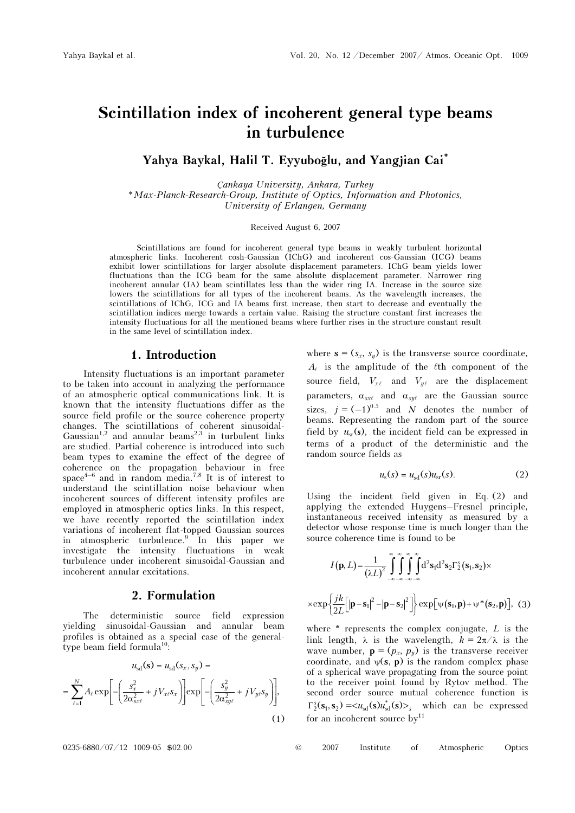# Scintillation index of incoherent general type beams in turbulence

Yahya Baykal, Halil T. Eyyuboğlu, and Yangjian Cai\*

Çankaya University, Ankara, Turkey \*Max-Planck-Research-Group, Institute of Optics, Information and Photonics, University of Erlangen, Germany

Received August 6, 2007

Scintillations are found for incoherent general type beams in weakly turbulent horizontal atmospheric links. Incoherent cosh-Gaussian (IChG) and incoherent cos-Gaussian (ICG) beams exhibit lower scintillations for larger absolute displacement parameters. IChG beam yields lower fluctuations than the ICG beam for the same absolute displacement parameter. Narrower ring incoherent annular (IA) beam scintillates less than the wider ring IA. Increase in the source size lowers the scintillations for all types of the incoherent beams. As the wavelength increases, the scintillations of IChG, ICG and IA beams first increase, then start to decrease and eventually the scintillation indices merge towards a certain value. Raising the structure constant first increases the intensity fluctuations for all the mentioned beams where further rises in the structure constant result in the same level of scintillation index.

## 1. Introduction

Intensity fluctuations is an important parameter to be taken into account in analyzing the performance of an atmospheric optical communications link. It is known that the intensity fluctuations differ as the source field profile or the source coherence property changes. The scintillations of coherent sinusoidal-Gaussian<sup>1,2</sup> and annular beams<sup>2,3</sup> in turbulent links are studied. Partial coherence is introduced into such beam types to examine the effect of the degree of coherence on the propagation behaviour in free space<sup>4–6</sup> and in random media.<sup>7,8</sup> It is of interest to understand the scintillation noise behaviour when incoherent sources of different intensity profiles are employed in atmospheric optics links. In this respect, we have recently reported the scintillation index variations of incoherent flat-topped Gaussian sources in atmospheric turbulence.<sup>9</sup> In this paper we investigate the intensity fluctuations in weak turbulence under incoherent sinusoidal-Gaussian and incoherent annular excitations.

### 2. Formulation

The deterministic source field expression yielding sinusoidal-Gaussian and annular beam profiles is obtained as a special case of the generaltype beam field formula<sup>10</sup>:

$$
u_{sd}(\mathbf{s}) = u_{sd}(s_x, s_y) =
$$
  
= 
$$
\sum_{\ell=1}^{N} A_{\ell} \exp\left[-\left(\frac{s_x^2}{2\alpha_{s\ell}^2} + jV_{\ell\ell} s_x\right)\right] \exp\left[-\left(\frac{s_y^2}{2\alpha_{s\ell}^2} + jV_{\ell\ell} s_y\right)\right],
$$
  
(1)

where  $\mathbf{s} = (s_x, s_y)$  is the transverse source coordinate,  $A_{\ell}$  is the amplitude of the  $\ell$ th component of the source field,  $V_{x\ell}$  and  $V_{y\ell}$  are the displacement parameters,  $\alpha_{\text{st}}$  and  $\alpha_{\text{st}}$  are the Gaussian source sizes,  $j = (-1)^{0.5}$  and N denotes the number of beams. Representing the random part of the source field by  $u_{sr}(s)$ , the incident field can be expressed in terms of a product of the deterministic and the random source fields as

$$
us(s) = usd(s)usr(s).
$$
 (2)

Using the incident field given in Eq. (2) and applying the extended Huygens–Fresnel principle, instantaneous received intensity as measured by a detector whose response time is much longer than the source coherence time is found to be

$$
I(\mathbf{p}, L) = \frac{1}{(\lambda L)^2} \int_{-\infty}^{\infty} \int_{-\infty}^{\infty} \int_{-\infty}^{\infty} \int_{-\infty}^{\infty} d^2 s_1 d^2 s_2 \Gamma_2^s(\mathbf{s}_1, \mathbf{s}_2) \times
$$
  
 
$$
\times \exp\left\{\frac{jk}{2L} [\mathbf{p} - \mathbf{s}_1]^2 - |\mathbf{p} - \mathbf{s}_2|^2] \right\} \exp[\psi(\mathbf{s}_1, \mathbf{p}) + \psi^*(\mathbf{s}_2, \mathbf{p})], \quad (3)
$$

where  $*$  represents the complex conjugate,  $L$  is the link length,  $\lambda$  is the wavelength,  $k = 2\pi/\lambda$  is the wave number,  $\mathbf{p} = (p_x, p_y)$  is the transverse receiver coordinate, and  $\psi(\mathbf{s}, \mathbf{p})$  is the random complex phase of a spherical wave propagating from the source point to the receiver point found by Rytov method. The second order source mutual coherence function is  $\Gamma_2^s(\mathbf{s}_1, \mathbf{s}_2) = \langle u_{sd}(\mathbf{s}) u_{sd}^*(\mathbf{s}) \rangle_s$  which can be expressed for an incoherent source  $by<sup>11</sup>$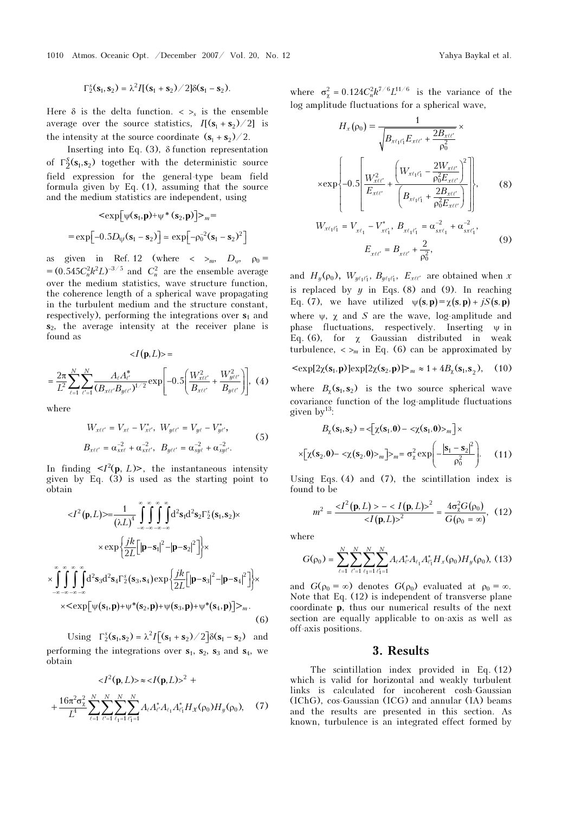1010 Atmos. Oceanic Opt. /December 2007/ Vol. 20, No. 12 Yahya Baykal et al.

$$
\Gamma_2^s(\mathbf{s}_1,\mathbf{s}_2)=\lambda^2I[(\mathbf{s}_1+\mathbf{s}_2)/2]\delta(\mathbf{s}_1-\mathbf{s}_2).
$$

Here  $\delta$  is the delta function.  $\langle \rangle_s$  is the ensemble average over the source statistics,  $I[(s_1 + s_2)/2]$  is the intensity at the source coordinate  $(s_1 + s_2)/2$ .

Inserting into Eq.  $(3)$ ,  $\delta$  function representation of  $\Gamma_2^S(\mathbf{s}_1, \mathbf{s}_2)$  together with the deterministic source field expression for the general-type beam field formula given by Eq. (1), assuming that the source

and the medium statistics are independent, using  
\n
$$
\langle \exp[\psi(\mathbf{s}_1, \mathbf{p}) + \psi^*(\mathbf{s}_2, \mathbf{p})] \rangle_m =
$$
\n
$$
= \exp[-0.5D_{\psi}(\mathbf{s}_1 - \mathbf{s}_2)] \approx \exp[-\rho_0^{-2}(\mathbf{s}_1 - \mathbf{s}_2)^2]
$$

as given in Ref. 12 (where  $\langle \rangle_{m}$ ,  $D_{w}$ ,  $\rho_0 =$  $=(0.545 C_n^2 k^2 L)^{-3/5}$  and  $C_n^2$  are the ensemble average over the medium statistics, wave structure function, the coherence length of a spherical wave propagating in the turbulent medium and the structure constant, respectively), performing the integrations over  $s_1$  and  $s_2$ , the average intensity at the receiver plane is found as

$$
\langle I(\mathbf{p}, L) \rangle =
$$
  
=  $\frac{2\pi}{L^2} \sum_{\ell=1}^{N} \sum_{\ell'=1}^{N} \frac{A_{\ell} A_{\ell'}^*}{(B_{x\ell\ell'} B_{y\ell\ell'})^{1/2}} \exp\left[-0.5\left(\frac{W_{x\ell\ell'}^2}{B_{x\ell\ell'}} + \frac{W_{y\ell\ell'}^2}{B_{y\ell\ell'}}\right)\right], (4)$ 

where

$$
W_{x\ell\ell'} = V_{x\ell} - V_{x\ell'}^*, \ W_{y\ell\ell'} = V_{y\ell} - V_{y\ell'}^*,
$$
  
\n
$$
B_{x\ell\ell'} = \alpha_{sx\ell}^{-2} + \alpha_{sx\ell}^{-2}, \ B_{y\ell\ell'} = \alpha_{sy\ell}^{-2} + \alpha_{sy\ell}^{-2}.
$$
 (5)

In finding  $\langle I^2(\mathbf{p}, L) \rangle$ , the instantaneous intensity given by Eq.  $(3)$  is used as the starting point to obtain

$$
\langle I^{2}(\mathbf{p},L)\rangle = \frac{1}{(\lambda L)^{4}} \int_{-\infty}^{\infty} \int_{-\infty}^{\infty} \int_{-\infty}^{\infty} d^{2}s_{1}d^{2}s_{2} \Gamma_{2}^{s}(s_{1}, s_{2}) \times
$$

$$
\times \exp\left\{\frac{jk}{2L} [\left|\mathbf{p}-\mathbf{s}_{1}\right|^{2} - \left|\mathbf{p}-\mathbf{s}_{2}\right|^{2}] \right\} \times
$$

$$
\times \int_{-\infty}^{\infty} \int_{-\infty}^{\infty} \int_{-\infty}^{\infty} d^{2}s_{3}d^{2}s_{4} \Gamma_{2}^{s}(s_{3}, s_{4}) \exp\left\{\frac{jk}{2L} [\left|\mathbf{p}-\mathbf{s}_{3}\right|^{2} - \left|\mathbf{p}-\mathbf{s}_{4}\right|^{2}] \right\} \times
$$

$$
\times \langle \exp[\psi(s_{1}, \mathbf{p}) + \psi^{*}(s_{2}, \mathbf{p}) + \psi(s_{3}, \mathbf{p}) + \psi^{*}(s_{4}, \mathbf{p})] \rangle_{m}.
$$
(6)

Using  $\Gamma_2^s(\mathbf{s}_1, \mathbf{s}_2) = \lambda^2 I [(\mathbf{s}_1 + \mathbf{s}_2) / 2] \delta(\mathbf{s}_1 - \mathbf{s}_2)$  and performing the integrations over  $s_1$ ,  $s_2$ ,  $s_3$  and  $s_4$ , we obtain

$$
\langle I^{2}(\mathbf{p}, L)\rangle \approx \langle I(\mathbf{p}, L)\rangle^{2} +
$$
  
+ 
$$
\frac{16\pi^{2}\sigma_{\chi}^{2}}{L^{4}}\sum_{\ell=1}^{N}\sum_{\ell'=1}^{N}\sum_{\ell_{1}=1}^{N}\sum_{\ell_{1}=1}^{N}A_{\ell}A_{\ell}^{*}A_{\ell_{1}}A_{\ell'_{1}}^{*}H_{\chi}(\rho_{0})H_{y}(\rho_{0}), \quad (7)
$$

where  $\sigma_{\chi}^2 = 0.124 C_n^2 k^{7/6} L^{11/6}$  is the variance of the log amplitude fluctuations for a spherical wave,

$$
H_{x}(\rho_{0}) = \frac{1}{\sqrt{B_{x\ell_{1}\ell_{1}'}E_{x\ell\ell'} + \frac{2B_{x\ell\ell'}}{\rho_{0}^{2}}}} \times
$$

$$
\times \exp\left\{-0.5\left[\frac{W_{x\ell\ell'}^{2}}{E_{x\ell\ell'}} + \frac{\left(W_{x\ell_{1}\ell_{1}'} - \frac{2W_{x\ell\ell'}}{\rho_{0}^{2}E_{x\ell\ell'}}\right)^{2}}{\left(B_{x\ell_{1}\ell_{1}'} + \frac{2B_{x\ell\ell'}}{\rho_{0}^{2}E_{x\ell\ell'}}\right)}\right],
$$
(8)
$$
W_{x\ell_{1}\ell_{1}} = V_{x\ell_{1}} - V_{x\ell_{1}}^{*}, B_{x\ell_{1}\ell_{1}'} = \alpha_{x\ell_{1}}^{-2} + \alpha_{x\ell_{1}}^{-2},
$$

$$
E_{x\ell_1\ell'_1} = V_{x\ell_1} - V_{x\ell'_1}, \quad B_{x\ell_1\ell'_1} = \alpha_{sx\ell_1} + \alpha_{sx\ell'_1},
$$
\n
$$
E_{x\ell\ell'} = B_{x\ell\ell'} + \frac{2}{\rho_0^2},
$$
\n
$$
(9)
$$

and  $H_y(\rho_0)$ ,  $W_{y\ell_1\ell'_1}$ ,  $B_{y\ell_1\ell'_1}$ ,  $E_{x\ell\ell'}$  are obtained when x is replaced by  $y$  in Eqs. (8) and (9). In reaching Eq. (7), we have utilized  $\psi(s, p) = \chi(s, p) + iS(s, p)$ where  $\psi$ ,  $\chi$  and S are the wave, log-amplitude and phase fluctuations, respectively. Inserting  $\psi$  in Eq. (6), for  $\chi$  Gaussian distributed in weak turbulence,  $\langle \rangle_m$  in Eq. (6) can be approximated by

$$
\langle \exp[2\chi(\mathbf{s}_1, \mathbf{p})] \exp[2\chi(\mathbf{s}_2, \mathbf{p})] \rangle_m \approx 1 + 4B_\chi(\mathbf{s}_1, \mathbf{s}_2), \quad (10)
$$

where  $B_{\gamma}(s_1, s_2)$  is the two source spherical wave covariance function of the log-amplitude fluctuations given by<sup>13</sup>:

$$
B_{\chi}(\mathbf{s}_1, \mathbf{s}_2) = \langle \left[ \chi(\mathbf{s}_1, \mathbf{0}) - \langle \chi(\mathbf{s}_1, \mathbf{0}) \rangle_m \right] \times
$$

$$
\times \left[ \chi(\mathbf{s}_2, \mathbf{0}) - \langle \chi(\mathbf{s}_2, \mathbf{0}) \rangle_m \right] \rangle_m = \sigma_{\chi}^2 \exp\left(-\frac{|\mathbf{s}_1 - \mathbf{s}_2|^2}{\rho_0^2}\right).
$$
 (11)

Using Eqs. (4) and (7), the scintillation index is found to be

$$
m^{2} = \frac{ - ^{2}}{^{2}} = \frac{4\sigma_{\chi}^{2}G(\rho_{0})}{G(\rho_{0} = \infty)}, \quad (12)
$$

where

$$
G(\rho_0) = \sum_{\ell=1}^N \sum_{\ell'=1}^N \sum_{\ell_1=1}^N \sum_{\ell'_1=1}^N A_\ell A_{\ell'}^* A_{\ell_1} A_{\ell_1'}^* H_x(\rho_0) H_y(\rho_0), \ (13)
$$

and  $G(\rho_0 = \infty)$  denotes  $G(\rho_0)$  evaluated at  $\rho_0 = \infty$ . Note that Eq. (12) is independent of transverse plane coordinate p, thus our numerical results of the next section are equally applicable to on-axis as well as off-axis positions.

#### 3. Results

The scintillation index provided in Eq. (12) which is valid for horizontal and weakly turbulent links is calculated for incoherent cosh-Gaussian (IChG), cos-Gaussian (ICG) and annular (IA) beams and the results are presented in this section. As known, turbulence is an integrated effect formed by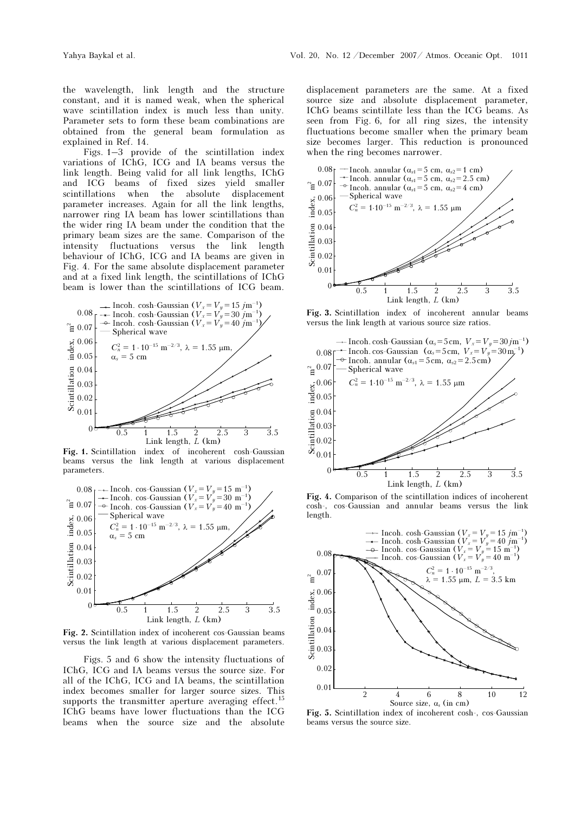the wavelength, link length and the structure constant, and it is named weak, when the spherical wave scintillation index is much less than unity. Parameter sets to form these beam combinations are obtained from the general beam formulation as explained in Ref. 14.

Figs. 1–3 provide of the scintillation index variations of IChG, ICG and IA beams versus the link length. Being valid for all link lengths, IChG and ICG beams of fixed sizes yield smaller scintillations when the absolute displacement parameter increases. Again for all the link lengths, narrower ring IA beam has lower scintillations than the wider ring IA beam under the condition that the primary beam sizes are the same. Comparison of the intensity fluctuations versus the link length behaviour of IChG, ICG and IA beams are given in Fig. 4. For the same absolute displacement parameter and at a fixed link length, the scintillations of IChG beam is lower than the scintillations of ICG beam.



Fig. 1. Scintillation index of incoherent cosh-Gaussian beams versus the link length at various displacement parameters.



Fig. 2. Scintillation index of incoherent cos-Gaussian beams versus the link length at various displacement parameters.

Figs. 5 and 6 show the intensity fluctuations of IChG, ICG and IA beams versus the source size. For all of the IChG, ICG and IA beams, the scintillation index becomes smaller for larger source sizes. This supports the transmitter aperture averaging effect.<sup>15</sup> IChG beams have lower fluctuations than the ICG beams when the source size and the absolute

displacement parameters are the same. At a fixed source size and absolute displacement parameter, IChG beams scintillate less than the ICG beams. As seen from Fig. 6, for all ring sizes, the intensity fluctuations become smaller when the primary beam size becomes larger. This reduction is pronounced when the ring becomes narrower.



Fig. 3. Scintillation index of incoherent annular beams versus the link length at various source size ratios.



Fig. 4. Comparison of the scintillation indices of incoherent cosh-, cos-Gaussian and annular beams versus the link length.



Fig. 5. Scintillation index of incoherent cosh-, cos-Gaussian beams versus the source size.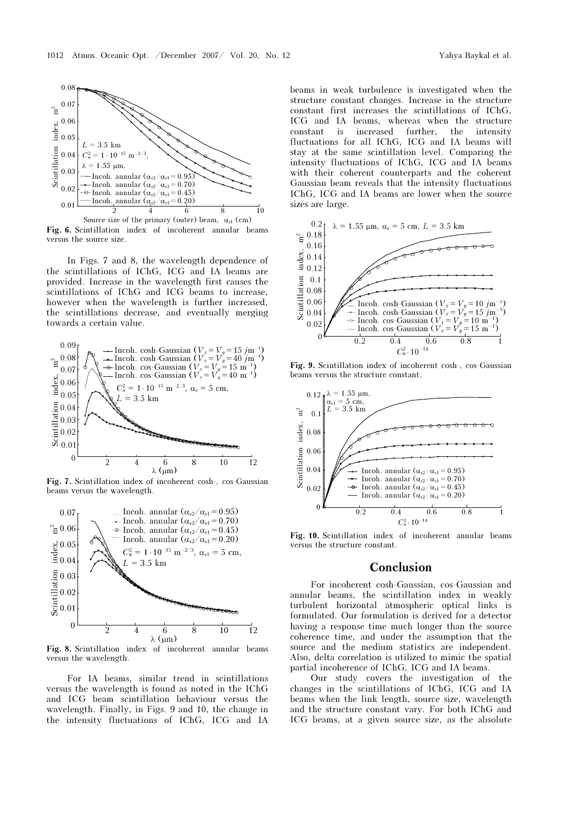

Fig. 6. Scintillation index of incoherent annular beams versus the source size.

In Figs. 7 and 8, the wavelength dependence of the scintillations of IChG, ICG and IA beams are provided. Increase in the wavelength first causes the scintillations of IChG and ICG beams to increase, however when the wavelength is further increased, the scintillations decrease, and eventually merging towards a certain value.



Fig. 7. Scintillation index of incoherent cosh-, cos-Gaussian beams versus the wavelength.



Fig. 8. Scintillation index of incoherent annular beams versus the wavelength.

For IA beams, similar trend in scintillations versus the wavelength is found as noted in the IChG and ICG beam scintillation behaviour versus the wavelength. Finally, in Figs. 9 and 10, the change in the intensity fluctuations of IChG, ICG and IA beams in weak turbulence is investigated when the structure constant changes. Increase in the structure constant first increases the scintillations of IChG, ICG and IA beams, whereas when the structure constant is increased further, the intensity fluctuations for all IChG, ICG and IA beams will stay at the same scintillation level. Comparing the intensity fluctuations of IChG, ICG and IA beams with their coherent counterparts and the coherent Gaussian beam reveals that the intensity fluctuations IChG, ICG and IA beams are lower when the source sizes are large.



Fig. 9. Scintillation index of incoherent cosh-, cos-Gaussian beams versus the structure constant.



Fig. 10. Scintillation index of incoherent annular beams versus the structure constant.

# Conclusion

For incoherent cosh-Gaussian, cos-Gaussian and annular beams, the scintillation index in weakly turbulent horizontal atmospheric optical links is formulated. Our formulation is derived for a detector having a response time much longer than the source coherence time, and under the assumption that the source and the medium statistics are independent. Also, delta correlation is utilized to mimic the spatial partial incoherence of IChG, ICG and IA beams.

Our study covers the investigation of the changes in the scintillations of IChG, ICG and IA beams when the link length, source size, wavelength and the structure constant vary. For both IChG and ICG beams, at a given source size, as the absolute